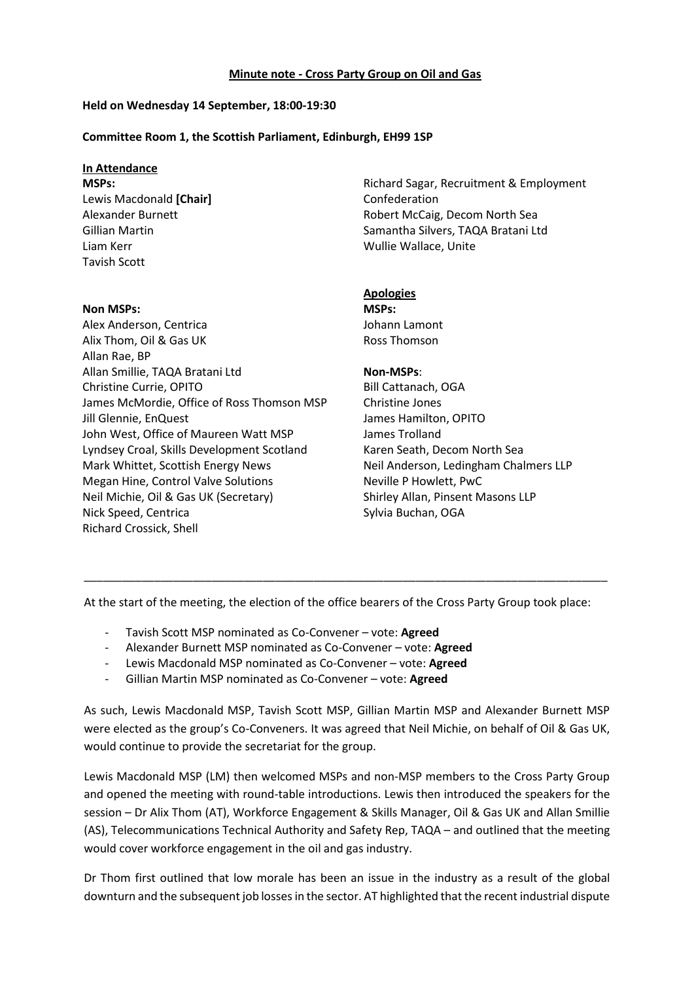#### **Minute note - Cross Party Group on Oil and Gas**

## **Held on Wednesday 14 September, 18:00-19:30**

## **Committee Room 1, the Scottish Parliament, Edinburgh, EH99 1SP**

# **In Attendance**

**MSPs:** Lewis Macdonald **[Chair]** Alexander Burnett Gillian Martin Liam Kerr Tavish Scott

**Non MSPs:** 

Alex Anderson, Centrica Alix Thom, Oil & Gas UK Allan Rae, BP Allan Smillie, TAQA Bratani Ltd Christine Currie, OPITO James McMordie, Office of Ross Thomson MSP Jill Glennie, EnQuest John West, Office of Maureen Watt MSP Lyndsey Croal, Skills Development Scotland Mark Whittet, Scottish Energy News Megan Hine, Control Valve Solutions Neil Michie, Oil & Gas UK (Secretary) Nick Speed, Centrica Richard Crossick, Shell

Richard Sagar, Recruitment & Employment Confederation Robert McCaig, Decom North Sea Samantha Silvers, TAQA Bratani Ltd Wullie Wallace, Unite

# **Apologies**

**MSPs:** Johann Lamont Ross Thomson

### **Non-MSPs**:

Bill Cattanach, OGA Christine Jones James Hamilton, OPITO James Trolland Karen Seath, Decom North Sea Neil Anderson, Ledingham Chalmers LLP Neville P Howlett, PwC Shirley Allan, Pinsent Masons LLP Sylvia Buchan, OGA

At the start of the meeting, the election of the office bearers of the Cross Party Group took place:

\_\_\_\_\_\_\_\_\_\_\_\_\_\_\_\_\_\_\_\_\_\_\_\_\_\_\_\_\_\_\_\_\_\_\_\_\_\_\_\_\_\_\_\_\_\_\_\_\_\_\_\_\_\_\_\_\_\_\_\_\_\_\_\_\_\_\_\_\_\_\_\_\_\_\_\_\_\_\_\_\_\_

- Tavish Scott MSP nominated as Co-Convener vote: **Agreed**
- Alexander Burnett MSP nominated as Co-Convener vote: **Agreed**
- Lewis Macdonald MSP nominated as Co-Convener vote: **Agreed**
- Gillian Martin MSP nominated as Co-Convener vote: **Agreed**

As such, Lewis Macdonald MSP, Tavish Scott MSP, Gillian Martin MSP and Alexander Burnett MSP were elected as the group's Co-Conveners. It was agreed that Neil Michie, on behalf of Oil & Gas UK, would continue to provide the secretariat for the group.

Lewis Macdonald MSP (LM) then welcomed MSPs and non-MSP members to the Cross Party Group and opened the meeting with round-table introductions. Lewis then introduced the speakers for the session – Dr Alix Thom (AT), Workforce Engagement & Skills Manager, Oil & Gas UK and Allan Smillie (AS), Telecommunications Technical Authority and Safety Rep, TAQA – and outlined that the meeting would cover workforce engagement in the oil and gas industry.

Dr Thom first outlined that low morale has been an issue in the industry as a result of the global downturn and the subsequent job losses in the sector. AT highlighted that the recent industrial dispute